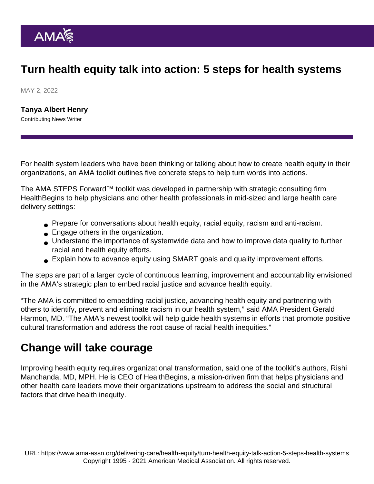## Turn health equity talk into action: 5 steps for health systems

MAY 2, 2022

[Tanya Albert Henry](https://www.ama-assn.org/news-leadership-viewpoints/authors-news-leadership-viewpoints/tanya-albert-henry) Contributing News Writer

For health system leaders who have been thinking or talking about how to create health equity in their organizations, an AMA toolkit outlines five concrete steps to help turn words into actions.

The [AMA STEPS Forward™ toolkit](https://edhub.ama-assn.org/steps-forward/module/2788862) was developed in partnership with strategic consulting firm HealthBegins to help physicians and other health professionals in mid-sized and large health care delivery settings:

- Prepare for conversations about health equity, racial equity, racism and anti-racism.
- **Engage others in the organization.**
- Understand the importance of systemwide data and how to improve data quality to further racial and health equity efforts.
- Explain how to advance equity using SMART goals and quality improvement efforts.

The steps are part of a larger cycle of continuous learning, improvement and accountability envisioned in the [AMA's strategic plan to embed racial justice and advance health equity](https://www.ama-assn.org/about/leadership/ama-s-strategic-plan-embed-racial-justice-and-advance-health-equity).

"The AMA is committed to embedding racial justice, advancing health equity and partnering with others to identify, prevent and eliminate racism in our health system," said AMA President [Gerald](https://www.ama-assn.org/about/board-trustees/gerald-e-harmon-md) [Harmon, MD](https://www.ama-assn.org/about/board-trustees/gerald-e-harmon-md). "The AMA's newest toolkit will help guide health systems in efforts that promote positive cultural transformation and address the root cause of racial health inequities."

## Change will take courage

Improving health equity requires organizational transformation, said one of the toolkit's authors, Rishi Manchanda, MD, MPH. He is CEO of HealthBegins, a mission-driven firm that helps physicians and other health care leaders move their organizations upstream to address the social and structural factors that drive health inequity.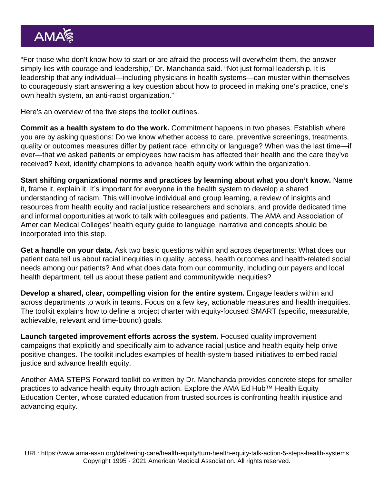"For those who don't know how to start or are afraid the process will overwhelm them, the answer simply lies with courage and leadership," Dr. Manchanda said. "Not just formal leadership. It is leadership that any individual—including physicians in health systems—can muster within themselves to courageously start answering a key question about how to proceed in making one's practice, one's own health system, an anti-racist organization."

Here's an overview of the five steps the toolkit outlines.

Commit as a health system to do the work. Commitment happens in two phases. Establish where you are by asking questions: Do we know whether access to care, preventive screenings, treatments, quality or outcomes measures differ by patient race, ethnicity or language? When was the last time—if ever—that we asked patients or employees how racism has affected their health and the care they've received? Next, identify champions to advance health equity work within the organization.

Start shifting organizational norms and practices by learning about what you don't know. Name it, frame it, explain it. It's important for everyone in the health system to develop a shared understanding of racism. This will involve individual and group learning, a review of insights and resources from health equity and racial justice researchers and scholars, and provide dedicated time and informal opportunities at work to talk with colleagues and patients. The AMA and Association of American Medical Colleges' [health equity guide to language, narrative and concepts](https://www.ama-assn.org/about/ama-center-health-equity/advancing-health-equity-guide-language-narrative-and-concepts-0) should be incorporated into this step.

Get a handle on your data. Ask two basic questions within and across departments: What does our patient data tell us about racial inequities in quality, access, health outcomes and health-related social needs among our patients? And what does data from our community, including our payers and local health department, tell us about these patient and communitywide inequities?

Develop a shared, clear, compelling vision for the entire system. Engage leaders within and across departments to work in teams. Focus on a few key, actionable measures and health inequities. The toolkit explains how to define a project charter with equity-focused SMART (specific, measurable, achievable, relevant and time-bound) goals.

Launch targeted improvement efforts across the system. Focused quality improvement campaigns that explicitly and specifically aim to advance racial justice and health equity help drive positive changes. The toolkit includes examples of health-system based initiatives to embed racial justice and advance health equity.

Another AMA STEPS Forward toolkit co-written by Dr. Manchanda provides [concrete steps for smaller](https://edhub.ama-assn.org/steps-forward/module/2782426) [practices](https://edhub.ama-assn.org/steps-forward/module/2782426) to advance health equity through action. Explore the [AMA Ed Hub™ Health Equity](https://edhub.ama-assn.org/health-equity-ed-center) [Education Center,](https://edhub.ama-assn.org/health-equity-ed-center) whose curated education from trusted sources is confronting health injustice and advancing equity.